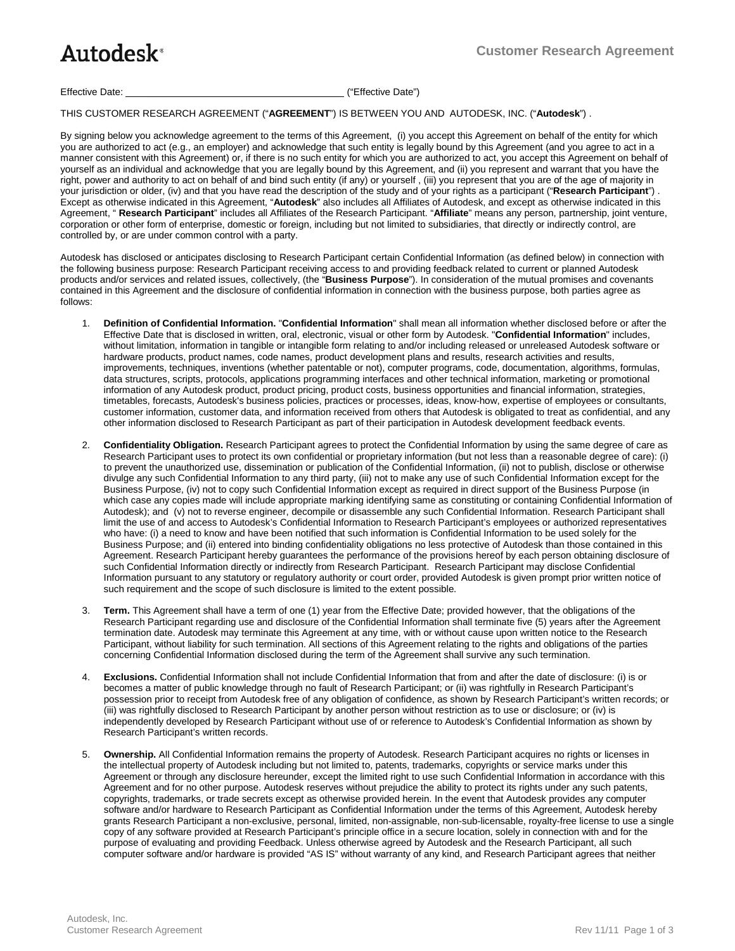## Autodesk<sup>®</sup>

## Effective Date: \_\_\_\_\_\_\_\_\_\_\_\_\_\_\_\_\_\_\_\_\_\_\_\_\_\_\_\_\_\_\_\_\_\_\_\_ ("Effective Date")

THIS CUSTOMER RESEARCH AGREEMENT ("**AGREEMENT**") IS BETWEEN YOU AND AUTODESK, INC. ("**Autodesk**") .

By signing below you acknowledge agreement to the terms of this Agreement, (i) you accept this Agreement on behalf of the entity for which you are authorized to act (e.g., an employer) and acknowledge that such entity is legally bound by this Agreement (and you agree to act in a manner consistent with this Agreement) or, if there is no such entity for which you are authorized to act, you accept this Agreement on behalf of yourself as an individual and acknowledge that you are legally bound by this Agreement, and (ii) you represent and warrant that you have the right, power and authority to act on behalf of and bind such entity (if any) or yourself, (iii) you represent that you are of the age of majority in your jurisdiction or older, (iv) and that you have read the description of the study and of your rights as a participant ("**Research Participant**") . Except as otherwise indicated in this Agreement, "**Autodesk**" also includes all Affiliates of Autodesk, and except as otherwise indicated in this Agreement, " **Research Participant**" includes all Affiliates of the Research Participant. "**Affiliate**" means any person, partnership, joint venture, corporation or other form of enterprise, domestic or foreign, including but not limited to subsidiaries, that directly or indirectly control, are controlled by, or are under common control with a party.

Autodesk has disclosed or anticipates disclosing to Research Participant certain Confidential Information (as defined below) in connection with the following business purpose: Research Participant receiving access to and providing feedback related to current or planned Autodesk products and/or services and related issues, collectively, (the "**Business Purpose**"). In consideration of the mutual promises and covenants contained in this Agreement and the disclosure of confidential information in connection with the business purpose, both parties agree as follows:

- 1. **Definition of Confidential Information.** "**Confidential Information**" shall mean all information whether disclosed before or after the Effective Date that is disclosed in written, oral, electronic, visual or other form by Autodesk. "**Confidential Information**" includes, without limitation, information in tangible or intangible form relating to and/or including released or unreleased Autodesk software or hardware products, product names, code names, product development plans and results, research activities and results, improvements, techniques, inventions (whether patentable or not), computer programs, code, documentation, algorithms, formulas, data structures, scripts, protocols, applications programming interfaces and other technical information, marketing or promotional information of any Autodesk product, product pricing, product costs, business opportunities and financial information, strategies, timetables, forecasts, Autodesk's business policies, practices or processes, ideas, know-how, expertise of employees or consultants, customer information, customer data, and information received from others that Autodesk is obligated to treat as confidential, and any other information disclosed to Research Participant as part of their participation in Autodesk development feedback events.
- 2. **Confidentiality Obligation.** Research Participant agrees to protect the Confidential Information by using the same degree of care as Research Participant uses to protect its own confidential or proprietary information (but not less than a reasonable degree of care): (i) to prevent the unauthorized use, dissemination or publication of the Confidential Information, (ii) not to publish, disclose or otherwise divulge any such Confidential Information to any third party, (iii) not to make any use of such Confidential Information except for the Business Purpose, (iv) not to copy such Confidential Information except as required in direct support of the Business Purpose (in which case any copies made will include appropriate marking identifying same as constituting or containing Confidential Information of Autodesk); and (v) not to reverse engineer, decompile or disassemble any such Confidential Information. Research Participant shall limit the use of and access to Autodesk's Confidential Information to Research Participant's employees or authorized representatives who have: (i) a need to know and have been notified that such information is Confidential Information to be used solely for the Business Purpose; and (ii) entered into binding confidentiality obligations no less protective of Autodesk than those contained in this Agreement. Research Participant hereby guarantees the performance of the provisions hereof by each person obtaining disclosure of such Confidential Information directly or indirectly from Research Participant. Research Participant may disclose Confidential Information pursuant to any statutory or regulatory authority or court order, provided Autodesk is given prompt prior written notice of such requirement and the scope of such disclosure is limited to the extent possible.
- 3. **Term.** This Agreement shall have a term of one (1) year from the Effective Date; provided however, that the obligations of the Research Participant regarding use and disclosure of the Confidential Information shall terminate five (5) years after the Agreement termination date. Autodesk may terminate this Agreement at any time, with or without cause upon written notice to the Research Participant, without liability for such termination. All sections of this Agreement relating to the rights and obligations of the parties concerning Confidential Information disclosed during the term of the Agreement shall survive any such termination.
- 4. **Exclusions.** Confidential Information shall not include Confidential Information that from and after the date of disclosure: (i) is or becomes a matter of public knowledge through no fault of Research Participant; or (ii) was rightfully in Research Participant's possession prior to receipt from Autodesk free of any obligation of confidence, as shown by Research Participant's written records; or (iii) was rightfully disclosed to Research Participant by another person without restriction as to use or disclosure; or (iv) is independently developed by Research Participant without use of or reference to Autodesk's Confidential Information as shown by Research Participant's written records.
- 5. **Ownership.** All Confidential Information remains the property of Autodesk. Research Participant acquires no rights or licenses in the intellectual property of Autodesk including but not limited to, patents, trademarks, copyrights or service marks under this Agreement or through any disclosure hereunder, except the limited right to use such Confidential Information in accordance with this Agreement and for no other purpose. Autodesk reserves without prejudice the ability to protect its rights under any such patents, copyrights, trademarks, or trade secrets except as otherwise provided herein. In the event that Autodesk provides any computer software and/or hardware to Research Participant as Confidential Information under the terms of this Agreement, Autodesk hereby grants Research Participant a non-exclusive, personal, limited, non-assignable, non-sub-licensable, royalty-free license to use a single copy of any software provided at Research Participant's principle office in a secure location, solely in connection with and for the purpose of evaluating and providing Feedback. Unless otherwise agreed by Autodesk and the Research Participant, all such computer software and/or hardware is provided "AS IS" without warranty of any kind, and Research Participant agrees that neither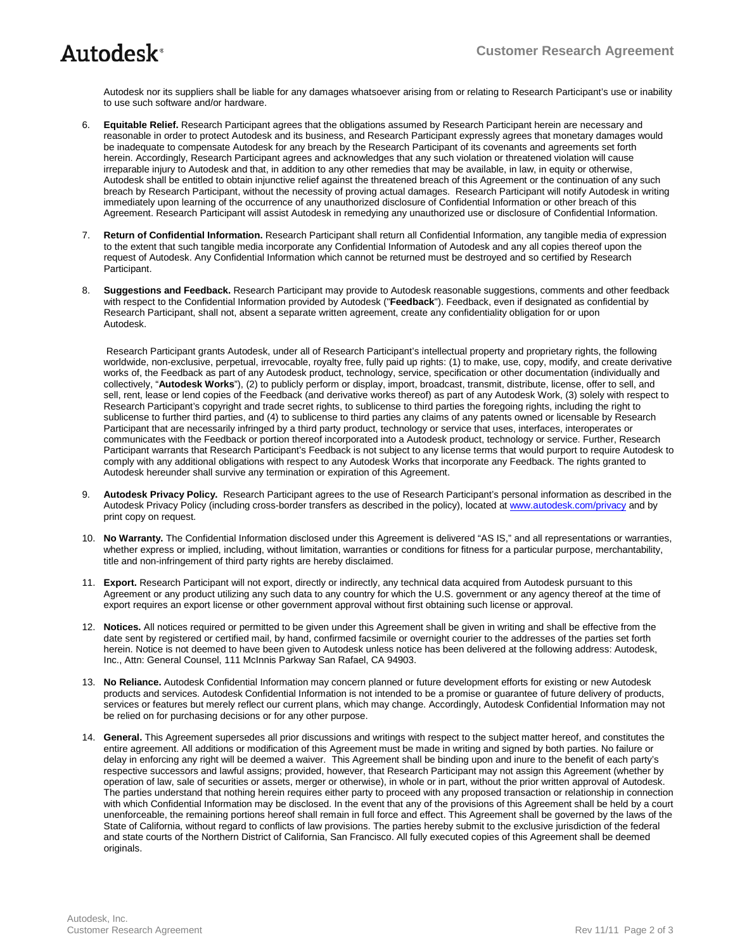Autodesk nor its suppliers shall be liable for any damages whatsoever arising from or relating to Research Participant's use or inability to use such software and/or hardware.

- 6. **Equitable Relief.** Research Participant agrees that the obligations assumed by Research Participant herein are necessary and reasonable in order to protect Autodesk and its business, and Research Participant expressly agrees that monetary damages would be inadequate to compensate Autodesk for any breach by the Research Participant of its covenants and agreements set forth herein. Accordingly, Research Participant agrees and acknowledges that any such violation or threatened violation will cause irreparable injury to Autodesk and that, in addition to any other remedies that may be available, in law, in equity or otherwise, Autodesk shall be entitled to obtain injunctive relief against the threatened breach of this Agreement or the continuation of any such breach by Research Participant, without the necessity of proving actual damages. Research Participant will notify Autodesk in writing immediately upon learning of the occurrence of any unauthorized disclosure of Confidential Information or other breach of this Agreement. Research Participant will assist Autodesk in remedying any unauthorized use or disclosure of Confidential Information.
- 7. **Return of Confidential Information.** Research Participant shall return all Confidential Information, any tangible media of expression to the extent that such tangible media incorporate any Confidential Information of Autodesk and any all copies thereof upon the request of Autodesk. Any Confidential Information which cannot be returned must be destroyed and so certified by Research Participant.
- 8. **Suggestions and Feedback.** Research Participant may provide to Autodesk reasonable suggestions, comments and other feedback with respect to the Confidential Information provided by Autodesk ("**Feedback**"). Feedback, even if designated as confidential by Research Participant, shall not, absent a separate written agreement, create any confidentiality obligation for or upon Autodesk.

Research Participant grants Autodesk, under all of Research Participant's intellectual property and proprietary rights, the following worldwide, non-exclusive, perpetual, irrevocable, royalty free, fully paid up rights: (1) to make, use, copy, modify, and create derivative works of, the Feedback as part of any Autodesk product, technology, service, specification or other documentation (individually and collectively, "**Autodesk Works**"), (2) to publicly perform or display, import, broadcast, transmit, distribute, license, offer to sell, and sell, rent, lease or lend copies of the Feedback (and derivative works thereof) as part of any Autodesk Work, (3) solely with respect to Research Participant's copyright and trade secret rights, to sublicense to third parties the foregoing rights, including the right to sublicense to further third parties, and (4) to sublicense to third parties any claims of any patents owned or licensable by Research Participant that are necessarily infringed by a third party product, technology or service that uses, interfaces, interoperates or communicates with the Feedback or portion thereof incorporated into a Autodesk product, technology or service. Further, Research Participant warrants that Research Participant's Feedback is not subject to any license terms that would purport to require Autodesk to comply with any additional obligations with respect to any Autodesk Works that incorporate any Feedback. The rights granted to Autodesk hereunder shall survive any termination or expiration of this Agreement.

- 9. **Autodesk Privacy Policy.** Research Participant agrees to the use of Research Participant's personal information as described in the Autodesk Privacy Policy (including cross-border transfers as described in the policy), located at [www.autodesk.com/privacy](http://www.autodesk.com/privacy) and by print copy on request.
- 10. **No Warranty.** The Confidential Information disclosed under this Agreement is delivered "AS IS," and all representations or warranties, whether express or implied, including, without limitation, warranties or conditions for fitness for a particular purpose, merchantability, title and non-infringement of third party rights are hereby disclaimed.
- 11. **Export.** Research Participant will not export, directly or indirectly, any technical data acquired from Autodesk pursuant to this Agreement or any product utilizing any such data to any country for which the U.S. government or any agency thereof at the time of export requires an export license or other government approval without first obtaining such license or approval.
- 12. **Notices.** All notices required or permitted to be given under this Agreement shall be given in writing and shall be effective from the date sent by registered or certified mail, by hand, confirmed facsimile or overnight courier to the addresses of the parties set forth herein. Notice is not deemed to have been given to Autodesk unless notice has been delivered at the following address: Autodesk, Inc., Attn: General Counsel, 111 McInnis Parkway San Rafael, CA 94903.
- 13. **No Reliance.** Autodesk Confidential Information may concern planned or future development efforts for existing or new Autodesk products and services. Autodesk Confidential Information is not intended to be a promise or guarantee of future delivery of products, services or features but merely reflect our current plans, which may change. Accordingly, Autodesk Confidential Information may not be relied on for purchasing decisions or for any other purpose.
- 14. **General.** This Agreement supersedes all prior discussions and writings with respect to the subject matter hereof, and constitutes the entire agreement. All additions or modification of this Agreement must be made in writing and signed by both parties. No failure or delay in enforcing any right will be deemed a waiver. This Agreement shall be binding upon and inure to the benefit of each party's respective successors and lawful assigns; provided, however, that Research Participant may not assign this Agreement (whether by operation of law, sale of securities or assets, merger or otherwise), in whole or in part, without the prior written approval of Autodesk. The parties understand that nothing herein requires either party to proceed with any proposed transaction or relationship in connection with which Confidential Information may be disclosed. In the event that any of the provisions of this Agreement shall be held by a court unenforceable, the remaining portions hereof shall remain in full force and effect. This Agreement shall be governed by the laws of the State of California, without regard to conflicts of law provisions. The parties hereby submit to the exclusive jurisdiction of the federal and state courts of the Northern District of California, San Francisco. All fully executed copies of this Agreement shall be deemed originals.